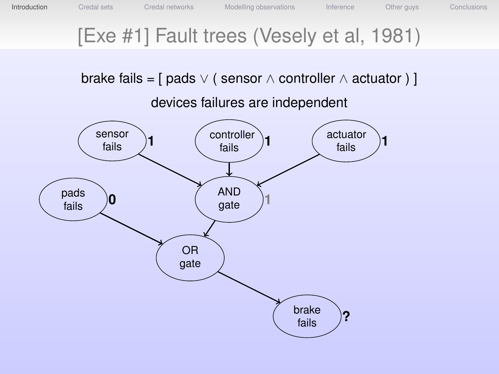## [Exe #1] Fault trees (Vesely et al, 1981)

brake fails =  $\lceil$  pads  $\vee$  ( sensor  $\wedge$  controller  $\wedge$  actuator )  $\rceil$ 

devices failures are independent

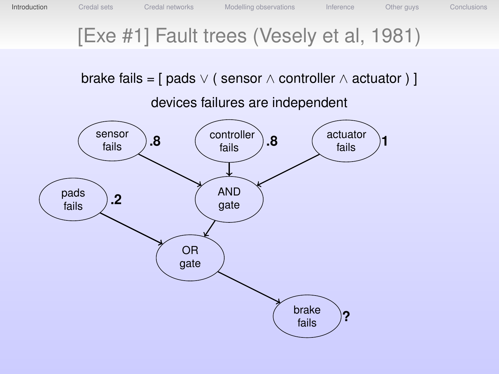## [Exe #1] Fault trees (Vesely et al, 1981)

brake fails =  $\lceil$  pads  $\vee$  ( sensor  $\wedge$  controller  $\wedge$  actuator )  $\rceil$ 

devices failures are independent

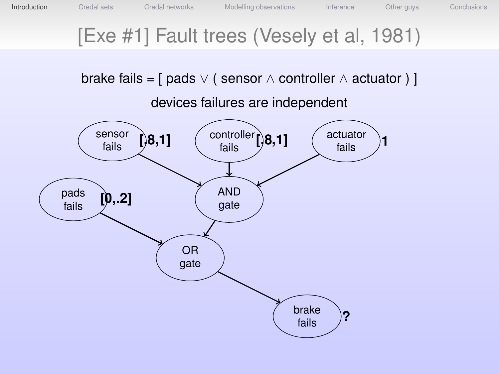## [Exe #1] Fault trees (Vesely et al, 1981)

brake fails =  $\lceil$  pads  $\vee$  ( sensor  $\wedge$  controller  $\wedge$  actuator )  $\rceil$ 

devices failures are independent

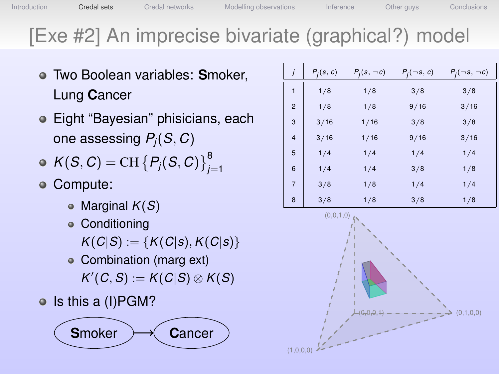# [Exe #2] An imprecise bivariate (graphical?) model

- Two Boolean variables: **S**moker, Lung **C**ancer
- Eight "Bayesian" phisicians, each one assessing *Pj*(*S*, *C*)
- $K(S, C) = \text{CH} \{P_j(S, C)\}_{j=1}^8$
- Compute:
	- Marginal  $K(S)$
	- Conditioning  $K(C|S) := {K(C|S), K(C|S)}$
	- Combination (marg ext)  $K'(C, S) := K(C|S) \otimes K(S)$
- o Is this a (I)PGM?



|                | $P_j(s, c)$ | $P_i(s, \neg c)$ | $P_i(\neg s, c)$ | $P_i(\neg s, \neg c)$ |
|----------------|-------------|------------------|------------------|-----------------------|
| 1              | 1/8         | 1/8              | 3/8              | 3/8                   |
| $\overline{2}$ | 1/8         | 1/8              | 9/16             | 3/16                  |
| 3              | 3/16        | 1/16             | 3/8              | 3/8                   |
| $\overline{4}$ | 3/16        | 1/16             | 9/16             | 3/16                  |
| 5              | 1/4         | 1/4              | 1/4              | 1/4                   |
| 6              | 1/4         | 1/4              | 3/8              | 1/8                   |
| $\overline{7}$ | 3/8         | 1/8              | 1/4              | 1/4                   |
| 8              | 3/8         | 1/8              | 3/8              | 1/8                   |

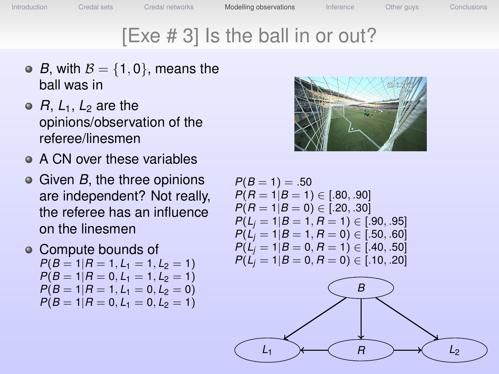Introduction Credal sets Credal networks **Modelling observations** Inference Other guys Conclusions

## [Exe # 3] Is the ball in or out?

- *B*, with  $B = \{1, 0\}$ , means the ball was in
- $\bullet$  *R*,  $L_1$ ,  $L_2$  are the opinions/observation of the referee/linesmen
- A CN over these variables
- Given *B*, the three opinions are independent? Not really, the referee has an influence on the linesmen
- Compute bounds of  $P(B = 1 | R = 1, L_1 = 1, L_2 = 1)$  $P(B = 1 | R = 0, L_1 = 1, L_2 = 1)$  $P(B=1|R=1, L_1=0, L_2=0)$  $P(B=1|R=0, L_1=0, L_2=1)$



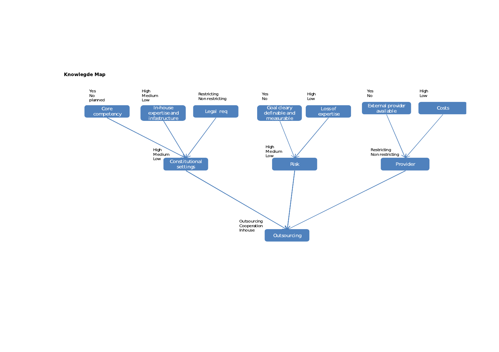Knowlegde Map

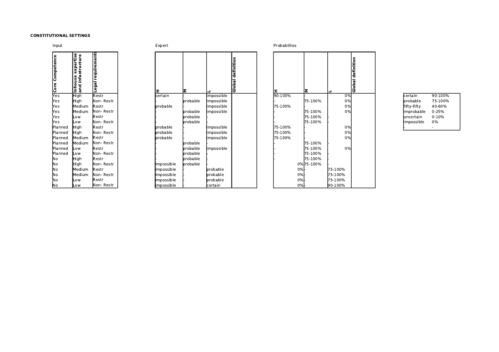#### CONSTITUTIONAL SETTINGS

| Input              |                                           |                       | Expert     |                  |           |
|--------------------|-------------------------------------------|-----------------------|------------|------------------|-----------|
| Competence<br>Core | expertise<br>and infastructure<br>Inhouse | requirements<br>Legal | x,         | İΣ               |           |
| Yes                | High                                      | Restr                 | certain    |                  | impossib  |
| Yes                | High                                      | Non- Restr            |            | lprobable        | impossib  |
| Yes                | Medium                                    | <b>Restr</b>          | probable   |                  | impossib  |
| Yes                | Medium                                    | Non-Restr             |            | probable         | limpossib |
| Yes                | Low                                       | <b>I</b> Restr        |            | probable         |           |
| Yes                | Low                                       | <b>N</b> on- Restr    |            | <b>Iprobable</b> |           |
| Planned            | High                                      | <b>l</b> Restr        | probable   |                  | impossib  |
| Planned            | High                                      | Non- Restr            | probable   |                  | impossib  |
| Planned            | Medium                                    | Restr                 | brobable   |                  | limpossib |
| Planned            | Medium                                    | <b>Non-Restr</b>      |            | brobable         |           |
| Planned            | Low                                       | lRestr                |            | probable         | limpossib |
| Planned            | Low                                       | <b>N</b> on- Restr    |            | probable         |           |
| No.                | High                                      | <b>Restr</b>          |            | probable         |           |
| No                 | Hiah                                      | Non-Restr             | impossible | <b>Iprobable</b> |           |
| Νo                 | Medium                                    | <b>Restr</b>          | impossible |                  | probable  |
| No                 | Medium                                    | Non-Restr             | impossible |                  | probable  |
| 'No                | Low                                       | <b>Restr</b>          | impossible |                  | probable  |
| lNo.               | Low                                       | Non- Restr            | impossible |                  | certain   |

|  |  | xper |  |
|--|--|------|--|
|  |  |      |  |

| Competence<br>e<br><u>So</u><br>Yes | expertise<br>infa<br>use<br>into<br>and | requirements<br>Legal | I                 | lΣ               |                   | definition<br>Global | Iτ      | lΣ         | ┙            |    |
|-------------------------------------|-----------------------------------------|-----------------------|-------------------|------------------|-------------------|----------------------|---------|------------|--------------|----|
|                                     | High                                    | <b>Restr</b>          | certain           |                  | impossible        |                      | 90-100% |            |              | 0% |
| Yes                                 | High                                    | Non- Restr            |                   | probable         | impossible        |                      |         | 75-100%    |              | 0% |
| Yes                                 | Medium                                  | <b>Restr</b>          | <b>I</b> probable |                  | impossible        |                      | 75-100% |            |              | 0% |
| Yes                                 | Medium                                  | Non-Restr             |                   | lprobable        | impossible        |                      |         | 75-100%    |              | 0% |
| Yes                                 | Low                                     | Restr                 |                   | probable         |                   |                      |         | 75-100%    |              |    |
| Yes                                 | Low                                     | Non- Restr            |                   | probable         |                   |                      |         | 75-100%    |              |    |
| Planned                             | High                                    | <b>Restr</b>          | <b>probable</b>   |                  | impossible        |                      | 75-100% |            |              | 0% |
| Planned                             | High                                    | Non-Restr             | probable          |                  | impossible        |                      | 75-100% |            |              | 0% |
| Planned                             | Medium                                  | <b>Restr</b>          | probable          |                  | impossible        |                      | 75-100% |            |              | 0% |
| Planned                             | Medium                                  | Non-Restr             |                   | probable         |                   |                      |         | 75-100%    |              |    |
| Planned                             | Low                                     | <b>l</b> Restr        |                   | <b>Iprobable</b> | impossible        |                      |         | 75-100%    |              | 0% |
| Planned                             | Low                                     | Non- Restr            |                   | lprobable        |                   |                      |         | 75-100%    |              |    |
| No                                  | High                                    | Restr                 |                   | probable         |                   |                      |         | 75-100%    |              |    |
| No                                  | High                                    | Non-Restr             | impossible        | probable         |                   |                      |         | 0% 75-100% |              |    |
| No                                  | Medium                                  | Restr                 | impossible        |                  | probable          |                      | 0%      |            | 75-100%      |    |
| No                                  | Medium                                  | Non-Restr             | impossible        |                  | <b>I</b> probable |                      | 0%      |            | 75-100%      |    |
| No                                  | Low                                     | <b>Restr</b>          | impossible        |                  | probable          |                      | 0%      |            | 75-100%      |    |
| N∩                                  | $^{\sim}$                               | Mon- Restr            | limnossible       |                  | lcertain          |                      | 0%L     |            | $190 - 100%$ |    |

**Expert Expert** 2008 **Expert** 2012 **Expert** 2013 **Probabilities** 

| Competenc<br>င်း | Inhouse expertise<br>and infastructure | requirements<br>$\overline{\mathsf{e}}$ gal | II          | lΣ       |            | Global definition | ΙI      | lΣ         |         | Global definition |             |           |
|------------------|----------------------------------------|---------------------------------------------|-------------|----------|------------|-------------------|---------|------------|---------|-------------------|-------------|-----------|
| Yes              | High                                   | Restr                                       | certain     |          | impossible |                   | 90-100% |            | 0%      |                   | certain     | 90-100%   |
| Yes              | High                                   | Non-Restr                                   |             | probable | impossible |                   |         | 75-100%    | 0%      |                   | probable    | 75-100%   |
| Yes              | Medium                                 | Restr                                       | probable    |          | impossible |                   | 75-100% |            | 0%      |                   | fifty-fifty | 40-60%    |
| Yes              | Medium                                 | Non-Restr                                   |             | probable | impossible |                   |         | 75-100%    | 0%      |                   | limprobable | $0 - 25%$ |
| lYes             | Low                                    | Restr                                       |             | probable |            |                   |         | 75-100%    |         |                   | luncertain  | $0 - 10%$ |
| Yes              | Low                                    | Non-Restr                                   |             | probable |            |                   |         | 75-100%    |         |                   | impossible  | 0%        |
| Planned          | High                                   | Restr                                       | probable    |          | impossible |                   | 75-100% |            | 0%      |                   |             |           |
| Planned          | High                                   | Non-Restr                                   | probable    |          | impossible |                   | 75-100% |            | 0%      |                   |             |           |
| Planned          | Medium                                 | Restr                                       | probable    |          | impossible |                   | 75-100% |            | 0%      |                   |             |           |
| Planned!         | Medium                                 | Non-Restr                                   |             | probable |            |                   |         | 75-100%    |         |                   |             |           |
| Planned          | Low                                    | Restr                                       |             | probable | impossible |                   |         | 75-100%    | 0%      |                   |             |           |
| Planned          | Low                                    | Non-Restr                                   |             | probable |            |                   |         | 75-100%    |         |                   |             |           |
| ]Νo              | High                                   | Restr                                       |             | probable |            |                   |         | 75-100%    |         |                   |             |           |
| lNo.             | High                                   | Non-Restr                                   | impossible  | probable |            |                   |         | 0% 75-100% |         |                   |             |           |
| iNo.             | Medium                                 | Restr                                       | impossible  |          | probable   |                   | 0%      |            | 75-100% |                   |             |           |
| ¦No              | Medium                                 | Non-Restr                                   | impossible  |          | probable   |                   | 0%      |            | 75-100% |                   |             |           |
| No!              | Low                                    | Restr                                       | limpossible |          | probable   |                   | 0%      |            | 75-100% |                   |             |           |
| No               | Low                                    | Non-Restr                                   | limpossible |          | certain    |                   | 0%      |            | 90-100% |                   |             |           |

| lcertain    | 90-100%   |
|-------------|-----------|
| probable    | 75-100%   |
| fifty-fifty | 40-60%    |
| improbable  | 0-25%     |
| luncertain  | $0 - 10%$ |
| impossible  | 0%        |
|             |           |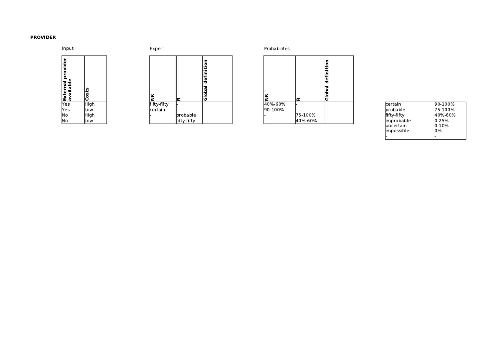#### PROVIDER



| Input                             |             | Expert      | Probabilites                                                 |                                |  |         |          |
|-----------------------------------|-------------|-------------|--------------------------------------------------------------|--------------------------------|--|---------|----------|
| Φ<br>ъ<br> External<br> available | ă<br>۰      | œ           | ≃                                                            | ۰<br>÷<br>÷<br>defi<br>œ<br>ခြ |  | ≃       | ≃        |
| Yes                               | <b>High</b> | fifty-fifty |                                                              |                                |  | 40%-60% |          |
| lYes                              | <b>Low</b>  | certain     |                                                              |                                |  | 90-100% |          |
| No                                | High        |             | probable                                                     |                                |  |         | 75-100%  |
| ہ ادا                             | تنمن اا     |             | $\mathsf{F}:\mathsf{F}\to\mathsf{F}:\mathsf{F}\to\mathsf{F}$ |                                |  |         | 1100/000 |

| Input                                       |               | Expert      |             |                                                                       |  |         |         |                             |                           |                          |
|---------------------------------------------|---------------|-------------|-------------|-----------------------------------------------------------------------|--|---------|---------|-----------------------------|---------------------------|--------------------------|
| <u>ia</u><br>௨<br><b>TExternal property</b> | $\circ$<br>ΙU |             | l≃          | $\overline{\bullet}$<br>Ě<br>$\mathbf{r}$<br>$\sim$<br>defi<br>Global |  | ١≆      | Ιœ      | efinition<br>ō<br>ခြံ<br>ခြ |                           |                          |
|                                             | High          | fifty-fifty |             |                                                                       |  | 40%-60% |         |                             | certain                   | 90-100%                  |
| Yes                                         | Low           | certain     |             |                                                                       |  | 90-100% |         |                             | probable                  | 75-100%                  |
| No                                          | High          |             | probable    |                                                                       |  |         | 75-100% |                             | fifty-fifty               | 40%-60%                  |
| No                                          | Low           |             | fifty-fifty |                                                                       |  |         | 40%-60% |                             | improbable                | $0 - 25%$                |
|                                             |               |             |             |                                                                       |  |         |         |                             | luncertain<br>limpossible | $0 - 10%$<br>0%          |
|                                             |               |             |             |                                                                       |  |         |         |                             |                           | $\overline{\phantom{a}}$ |

|               | <b>certain</b>   | 90-100%   |
|---------------|------------------|-----------|
|               | <b>Iprobable</b> | 75-100%   |
| %             | lfifty-fifty     | 40%-60%   |
| $\frac{9}{6}$ | limprobable      | $0 - 25%$ |
|               | luncertain       | $0-10%$   |
|               | limpossible      | 0%        |
|               |                  |           |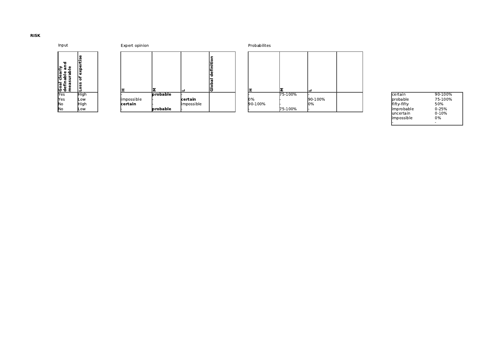Input



| where opinion |  |
|---------------|--|
|               |  |

| ъ<br>≤،<br>ω<br>G.<br>Φ<br>lea<br>ء<br>œ<br>ro<br>e e<br>ω<br>ع ڏڻ ا | Φ<br>₽<br>سد<br>ω<br>exp<br>৳<br>ů,<br>۰<br>P |             |                 |            | $\circ$<br>Ξ<br>defi<br>σ<br>≗<br>ত |         |         |         |
|----------------------------------------------------------------------|-----------------------------------------------|-------------|-----------------|------------|-------------------------------------|---------|---------|---------|
| lYes                                                                 | High                                          |             | probable        |            |                                     |         | 75-100% |         |
| lYes                                                                 | Low                                           | limpossible |                 | certain    |                                     | $10\%$  |         | 90-100% |
| lNo                                                                  | High                                          | certain     |                 | impossible |                                     | 90-100% |         | 10%     |
| INo.                                                                 | Low                                           |             | <b>orobable</b> |            |                                     |         | 75-100% |         |

| Input                                           | Expert opinion          |  |            |          |            |                     | Probabilites |         |         |  |                          |                 |
|-------------------------------------------------|-------------------------|--|------------|----------|------------|---------------------|--------------|---------|---------|--|--------------------------|-----------------|
| ъ<br>Goal clearly<br>definable an<br>measurable | Б<br>exper<br>৳<br>Loss |  |            |          |            | definitio<br>Global |              |         |         |  |                          |                 |
| <b>Yes</b>                                      | <b>High</b>             |  |            | probable |            |                     |              | 75-100% |         |  | certain                  | 90-100%         |
| Yes                                             | Low                     |  | impossible |          | certain    |                     | 10%          |         | 90-100% |  | probable                 | 75-100%         |
| No                                              | High                    |  | certain    |          | impossible |                     | 90-100%      |         | lo%     |  | fifty-fifty              | 50%             |
| INo.                                            | Low                     |  |            | probable |            |                     |              | 75-100% |         |  | improbable               | $0 - 25%$       |
|                                                 |                         |  |            |          |            |                     |              |         |         |  | luncertain<br>impossible | $0 - 10%$<br>0% |

|        | <b>I</b> certain  | 90-100%   |
|--------|-------------------|-----------|
| 0-100% | <b>I</b> probable | 75-100%   |
| %      | lfifty-fifty      | 50%       |
|        | limprobable       | $0 - 25%$ |
|        | luncertain        | $0-10%$   |
|        | limpossible       | $0\%$     |
|        |                   |           |